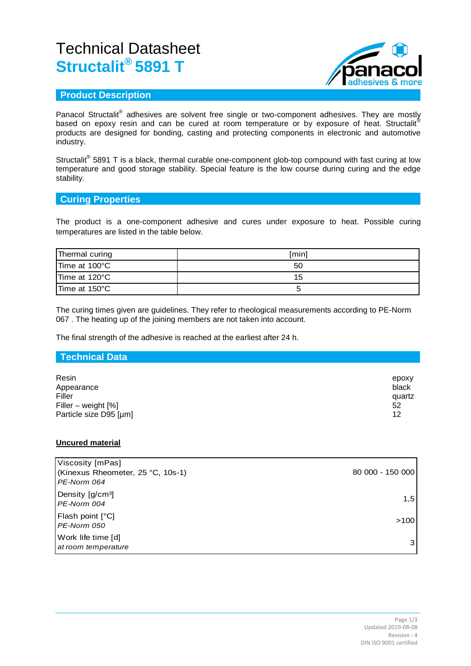# Technical Datasheet **Structalit® 5891 T**



## **Product Description**

Panacol Structalit<sup>®</sup> adhesives are solvent free single or two-component adhesives. They are mostly based on epoxy resin and can be cured at room temperature or by exposure of heat. Structalit products are designed for bonding, casting and protecting components in electronic and automotive industry.

Structalit<sup>®</sup> 5891 T is a black, thermal curable one-component glob-top compound with fast curing at low temperature and good storage stability. Special feature is the low course during curing and the edge stability.

### **Curing Properties**

The product is a one-component adhesive and cures under exposure to heat. Possible curing temperatures are listed in the table below.

| Thermal curing | [min] |
|----------------|-------|
| Time at 100°C  | 50    |
| Time at 120°C  | 15    |
| Time at 150°C  |       |

The curing times given are guidelines. They refer to rheological measurements according to PE-Norm 067 . The heating up of the joining members are not taken into account.

The final strength of the adhesive is reached at the earliest after 24 h.

## **Technical Data**

| Resin<br>Appearance    | epoxy<br>black |
|------------------------|----------------|
| Filler                 | quartz         |
| Filler – weight $[%]$  | 52             |
| Particle size D95 [µm] | 12             |

#### **Uncured material**

| Viscosity [mPas]<br>(Kinexus Rheometer, 25 °C, 10s-1)<br>PE-Norm 064 | 80 000 - 150 000 |
|----------------------------------------------------------------------|------------------|
| Density [g/cm <sup>3</sup> ]<br>PE-Norm 004                          | 1,5              |
| <b>Flash point [°C]</b><br>PE-Norm 050                               | >100             |
| Work life time [d]<br>at room temperature                            | 3                |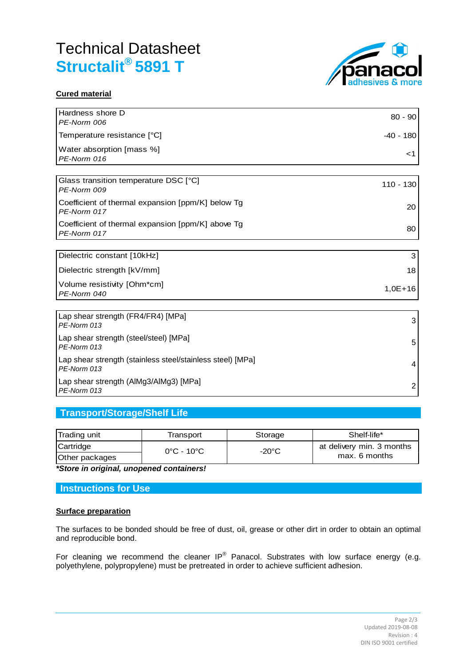# Technical Datasheet **Structalit® 5891 T**



### **Cured material**

| Hardness shore D<br>PE-Norm 006                                           | $80 - 90$      |
|---------------------------------------------------------------------------|----------------|
| Temperature resistance [°C]                                               | $-40 - 180$    |
| Water absorption [mass %]<br>PE-Norm 016                                  | ا>             |
|                                                                           |                |
| Glass transition temperature DSC [°C]<br>PE-Norm 009                      | $110 - 130$    |
| Coefficient of thermal expansion [ppm/K] below Tg<br>PE-Norm 017          | 20             |
| Coefficient of thermal expansion [ppm/K] above Tg<br>PE-Norm 017          | 80             |
|                                                                           |                |
| Dielectric constant [10kHz]                                               | 3              |
| Dielectric strength [kV/mm]                                               | 18             |
| Volume resistivity [Ohm*cm]<br>PE-Norm 040                                | $1,0E+16$      |
|                                                                           |                |
| Lap shear strength (FR4/FR4) [MPa]<br>PE-Norm 013                         | 3              |
| Lap shear strength (steel/steel) [MPa]<br>PE-Norm 013                     | 5              |
| Lap shear strength (stainless steel/stainless steel) [MPa]<br>PE-Norm 013 | 4              |
| Lap shear strength (AIMg3/AIMg3) [MPa]<br>PE-Norm 013                     | $\overline{2}$ |

## **Transport/Storage/Shelf Life**

| Trading unit   | Transport                       | Storage         | Shelf-life*               |
|----------------|---------------------------------|-----------------|---------------------------|
| Cartridge      | $0^{\circ}$ C - 10 $^{\circ}$ C | $-20^{\circ}$ C | at delivery min. 3 months |
| Other packages |                                 |                 | max. 6 months             |

*\*Store in original, unopened containers!*

## **Instructions for Use**

#### **Surface preparation**

The surfaces to be bonded should be free of dust, oil, grease or other dirt in order to obtain an optimal and reproducible bond.

For cleaning we recommend the cleaner IP<sup>®</sup> Panacol. Substrates with low surface energy (e.g. polyethylene, polypropylene) must be pretreated in order to achieve sufficient adhesion.